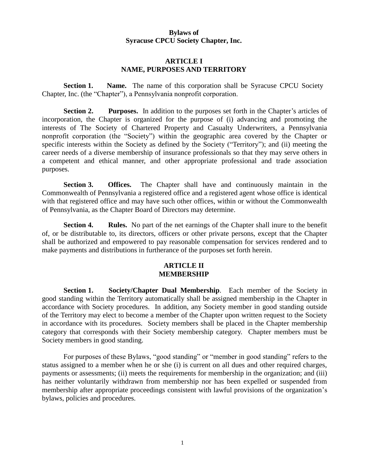## **Bylaws of Syracuse CPCU Society Chapter, Inc.**

## **ARTICLE I NAME, PURPOSES AND TERRITORY**

**Section 1. Name.** The name of this corporation shall be Syracuse CPCU Society Chapter, Inc. (the "Chapter"), a Pennsylvania nonprofit corporation.

**Section 2.** Purposes. In addition to the purposes set forth in the Chapter's articles of incorporation, the Chapter is organized for the purpose of (i) advancing and promoting the interests of The Society of Chartered Property and Casualty Underwriters, a Pennsylvania nonprofit corporation (the "Society") within the geographic area covered by the Chapter or specific interests within the Society as defined by the Society ("Territory"); and (ii) meeting the career needs of a diverse membership of insurance professionals so that they may serve others in a competent and ethical manner, and other appropriate professional and trade association purposes.

**Section 3. Offices.** The Chapter shall have and continuously maintain in the Commonwealth of Pennsylvania a registered office and a registered agent whose office is identical with that registered office and may have such other offices, within or without the Commonwealth of Pennsylvania, as the Chapter Board of Directors may determine.

**Section 4.** Rules. No part of the net earnings of the Chapter shall inure to the benefit of, or be distributable to, its directors, officers or other private persons, except that the Chapter shall be authorized and empowered to pay reasonable compensation for services rendered and to make payments and distributions in furtherance of the purposes set forth herein.

### **ARTICLE II MEMBERSHIP**

**Section 1. Society/Chapter Dual Membership**. Each member of the Society in good standing within the Territory automatically shall be assigned membership in the Chapter in accordance with Society procedures. In addition, any Society member in good standing outside of the Territory may elect to become a member of the Chapter upon written request to the Society in accordance with its procedures. Society members shall be placed in the Chapter membership category that corresponds with their Society membership category. Chapter members must be Society members in good standing.

For purposes of these Bylaws, "good standing" or "member in good standing" refers to the status assigned to a member when he or she (i) is current on all dues and other required charges, payments or assessments; (ii) meets the requirements for membership in the organization; and (iii) has neither voluntarily withdrawn from membership nor has been expelled or suspended from membership after appropriate proceedings consistent with lawful provisions of the organization's bylaws, policies and procedures.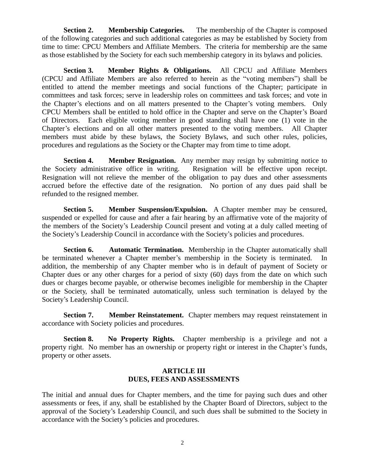**Section 2.** Membership Categories. The membership of the Chapter is composed of the following categories and such additional categories as may be established by Society from time to time: CPCU Members and Affiliate Members. The criteria for membership are the same as those established by the Society for each such membership category in its bylaws and policies.

**Section 3. Member Rights & Obligations.** All CPCU and Affiliate Members (CPCU and Affiliate Members are also referred to herein as the "voting members") shall be entitled to attend the member meetings and social functions of the Chapter; participate in committees and task forces; serve in leadership roles on committees and task forces; and vote in the Chapter's elections and on all matters presented to the Chapter's voting members. Only CPCU Members shall be entitled to hold office in the Chapter and serve on the Chapter's Board of Directors. Each eligible voting member in good standing shall have one (1) vote in the Chapter's elections and on all other matters presented to the voting members. All Chapter members must abide by these bylaws, the Society Bylaws, and such other rules, policies, procedures and regulations as the Society or the Chapter may from time to time adopt.

**Section 4.** Member **Resignation.** Any member may resign by submitting notice to the Society administrative office in writing. Resignation will be effective upon receipt. Resignation will not relieve the member of the obligation to pay dues and other assessments accrued before the effective date of the resignation. No portion of any dues paid shall be refunded to the resigned member.

**Section 5. Member Suspension/Expulsion.** A Chapter member may be censured, suspended or expelled for cause and after a fair hearing by an affirmative vote of the majority of the members of the Society's Leadership Council present and voting at a duly called meeting of the Society's Leadership Council in accordance with the Society's policies and procedures.

**Section 6.** Automatic **Termination.** Membership in the Chapter automatically shall be terminated whenever a Chapter member's membership in the Society is terminated. In addition, the membership of any Chapter member who is in default of payment of Society or Chapter dues or any other charges for a period of sixty (60) days from the date on which such dues or charges become payable, or otherwise becomes ineligible for membership in the Chapter or the Society, shall be terminated automatically, unless such termination is delayed by the Society's Leadership Council.

**Section 7.** Member **Reinstatement.** Chapter members may request reinstatement in accordance with Society policies and procedures.

**Section 8.** No Property Rights. Chapter membership is a privilege and not a property right. No member has an ownership or property right or interest in the Chapter's funds, property or other assets.

## **ARTICLE III DUES, FEES AND ASSESSMENTS**

The initial and annual dues for Chapter members, and the time for paying such dues and other assessments or fees, if any, shall be established by the Chapter Board of Directors, subject to the approval of the Society's Leadership Council, and such dues shall be submitted to the Society in accordance with the Society's policies and procedures.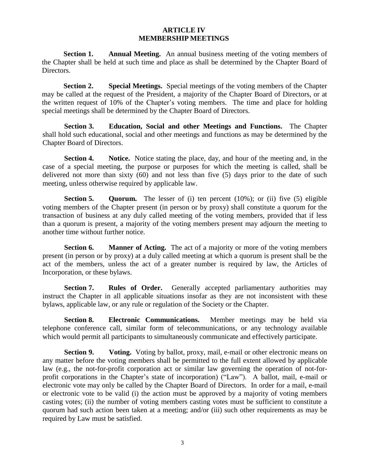### **ARTICLE IV MEMBERSHIP MEETINGS**

**Section 1. Annual Meeting.** An annual business meeting of the voting members of the Chapter shall be held at such time and place as shall be determined by the Chapter Board of Directors.

**Section 2. Special Meetings.** Special meetings of the voting members of the Chapter may be called at the request of the President, a majority of the Chapter Board of Directors, or at the written request of 10% of the Chapter's voting members. The time and place for holding special meetings shall be determined by the Chapter Board of Directors.

**Section 3. Education, Social and other Meetings and Functions.** The Chapter shall hold such educational, social and other meetings and functions as may be determined by the Chapter Board of Directors.

**Section 4.** Notice. Notice stating the place, day, and hour of the meeting and, in the case of a special meeting, the purpose or purposes for which the meeting is called, shall be delivered not more than sixty (60) and not less than five (5) days prior to the date of such meeting, unless otherwise required by applicable law.

**Section 5. Quorum.** The lesser of (i) ten percent (10%); or (ii) five (5) eligible voting members of the Chapter present (in person or by proxy) shall constitute a quorum for the transaction of business at any duly called meeting of the voting members, provided that if less than a quorum is present, a majority of the voting members present may adjourn the meeting to another time without further notice.

**Section 6.** Manner of Acting. The act of a majority or more of the voting members present (in person or by proxy) at a duly called meeting at which a quorum is present shall be the act of the members, unless the act of a greater number is required by law, the Articles of Incorporation, or these bylaws.

**Section 7. Rules of Order.** Generally accepted parliamentary authorities may instruct the Chapter in all applicable situations insofar as they are not inconsistent with these bylaws, applicable law, or any rule or regulation of the Society or the Chapter.

**Section 8. Electronic Communications.** Member meetings may be held via telephone conference call, similar form of telecommunications, or any technology available which would permit all participants to simultaneously communicate and effectively participate.

**Section 9.** Voting. Voting by ballot, proxy, mail, e-mail or other electronic means on any matter before the voting members shall be permitted to the full extent allowed by applicable law (e.g., the not-for-profit corporation act or similar law governing the operation of not-forprofit corporations in the Chapter's state of incorporation) ("Law"). A ballot, mail, e-mail or electronic vote may only be called by the Chapter Board of Directors. In order for a mail, e-mail or electronic vote to be valid (i) the action must be approved by a majority of voting members casting votes; (ii) the number of voting members casting votes must be sufficient to constitute a quorum had such action been taken at a meeting; and/or (iii) such other requirements as may be required by Law must be satisfied.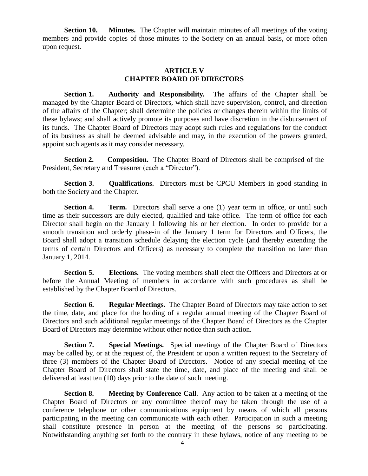**Section 10. Minutes.** The Chapter will maintain minutes of all meetings of the voting members and provide copies of those minutes to the Society on an annual basis, or more often upon request.

## **ARTICLE V CHAPTER BOARD OF DIRECTORS**

**Section 1.** Authority and Responsibility. The affairs of the Chapter shall be managed by the Chapter Board of Directors, which shall have supervision, control, and direction of the affairs of the Chapter; shall determine the policies or changes therein within the limits of these bylaws; and shall actively promote its purposes and have discretion in the disbursement of its funds. The Chapter Board of Directors may adopt such rules and regulations for the conduct of its business as shall be deemed advisable and may, in the execution of the powers granted, appoint such agents as it may consider necessary.

**Section 2. Composition.** The Chapter Board of Directors shall be comprised of the President, Secretary and Treasurer (each a "Director").

**Section 3. Qualifications.** Directors must be CPCU Members in good standing in both the Society and the Chapter.

**Section 4.** Term. Directors shall serve a one (1) year term in office, or until such time as their successors are duly elected, qualified and take office. The term of office for each Director shall begin on the January 1 following his or her election. In order to provide for a smooth transition and orderly phase-in of the January 1 term for Directors and Officers, the Board shall adopt a transition schedule delaying the election cycle (and thereby extending the terms of certain Directors and Officers) as necessary to complete the transition no later than January 1, 2014.

**Section 5.** Elections. The voting members shall elect the Officers and Directors at or before the Annual Meeting of members in accordance with such procedures as shall be established by the Chapter Board of Directors.

**Section 6. Regular Meetings.** The Chapter Board of Directors may take action to set the time, date, and place for the holding of a regular annual meeting of the Chapter Board of Directors and such additional regular meetings of the Chapter Board of Directors as the Chapter Board of Directors may determine without other notice than such action.

**Section 7. Special Meetings.** Special meetings of the Chapter Board of Directors may be called by, or at the request of, the President or upon a written request to the Secretary of three (3) members of the Chapter Board of Directors. Notice of any special meeting of the Chapter Board of Directors shall state the time, date, and place of the meeting and shall be delivered at least ten (10) days prior to the date of such meeting.

**Section 8. Meeting by Conference Call**. Any action to be taken at a meeting of the Chapter Board of Directors or any committee thereof may be taken through the use of a conference telephone or other communications equipment by means of which all persons participating in the meeting can communicate with each other. Participation in such a meeting shall constitute presence in person at the meeting of the persons so participating. Notwithstanding anything set forth to the contrary in these bylaws, notice of any meeting to be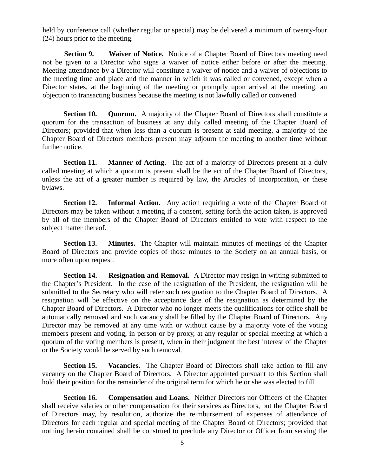held by conference call (whether regular or special) may be delivered a minimum of twenty-four (24) hours prior to the meeting.

**Section 9. Waiver of Notice.** Notice of a Chapter Board of Directors meeting need not be given to a Director who signs a waiver of notice either before or after the meeting. Meeting attendance by a Director will constitute a waiver of notice and a waiver of objections to the meeting time and place and the manner in which it was called or convened, except when a Director states, at the beginning of the meeting or promptly upon arrival at the meeting, an objection to transacting business because the meeting is not lawfully called or convened.

**Section 10. Quorum.** A majority of the Chapter Board of Directors shall constitute a quorum for the transaction of business at any duly called meeting of the Chapter Board of Directors; provided that when less than a quorum is present at said meeting, a majority of the Chapter Board of Directors members present may adjourn the meeting to another time without further notice.

**Section 11. Manner of Acting.** The act of a majority of Directors present at a duly called meeting at which a quorum is present shall be the act of the Chapter Board of Directors, unless the act of a greater number is required by law, the Articles of Incorporation, or these bylaws.

**Section 12.** Informal Action. Any action requiring a vote of the Chapter Board of Directors may be taken without a meeting if a consent, setting forth the action taken, is approved by all of the members of the Chapter Board of Directors entitled to vote with respect to the subject matter thereof.

**Section 13. Minutes.** The Chapter will maintain minutes of meetings of the Chapter Board of Directors and provide copies of those minutes to the Society on an annual basis, or more often upon request.

**Section 14. Resignation and Removal.** A Director may resign in writing submitted to the Chapter's President. In the case of the resignation of the President, the resignation will be submitted to the Secretary who will refer such resignation to the Chapter Board of Directors. A resignation will be effective on the acceptance date of the resignation as determined by the Chapter Board of Directors. A Director who no longer meets the qualifications for office shall be automatically removed and such vacancy shall be filled by the Chapter Board of Directors. Any Director may be removed at any time with or without cause by a majority vote of the voting members present and voting, in person or by proxy, at any regular or special meeting at which a quorum of the voting members is present, when in their judgment the best interest of the Chapter or the Society would be served by such removal.

**Section 15. Vacancies.** The Chapter Board of Directors shall take action to fill any vacancy on the Chapter Board of Directors. A Director appointed pursuant to this Section shall hold their position for the remainder of the original term for which he or she was elected to fill.

**Section 16. Compensation and Loans.** Neither Directors nor Officers of the Chapter shall receive salaries or other compensation for their services as Directors, but the Chapter Board of Directors may, by resolution, authorize the reimbursement of expenses of attendance of Directors for each regular and special meeting of the Chapter Board of Directors; provided that nothing herein contained shall be construed to preclude any Director or Officer from serving the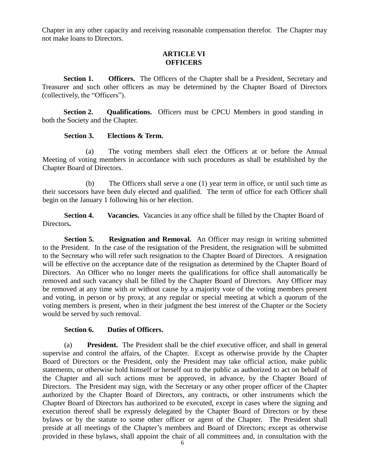Chapter in any other capacity and receiving reasonable compensation therefor. The Chapter may not make loans to Directors.

# **ARTICLE VI OFFICERS**

**Section 1. Officers.** The Officers of the Chapter shall be a President, Secretary and Treasurer and such other officers as may be determined by the Chapter Board of Directors (collectively, the "Officers").

**Section 2.** Qualifications. Officers must be CPCU Members in good standing in both the Society and the Chapter.

### **Section 3. Elections & Term.**

(a) The voting members shall elect the Officers at or before the Annual Meeting of voting members in accordance with such procedures as shall be established by the Chapter Board of Directors.

(b) The Officers shall serve a one (1) year term in office, or until such time as their successors have been duly elected and qualified. The term of office for each Officer shall begin on the January 1 following his or her election.

**Section 4. Vacancies.** Vacancies in any office shall be filled by the Chapter Board of Directors**.**

**Section 5. Resignation and Removal.** An Officer may resign in writing submitted to the President. In the case of the resignation of the President, the resignation will be submitted to the Secretary who will refer such resignation to the Chapter Board of Directors. A resignation will be effective on the acceptance date of the resignation as determined by the Chapter Board of Directors. An Officer who no longer meets the qualifications for office shall automatically be removed and such vacancy shall be filled by the Chapter Board of Directors. Any Officer may be removed at any time with or without cause by a majority vote of the voting members present and voting, in person or by proxy, at any regular or special meeting at which a quorum of the voting members is present, when in their judgment the best interest of the Chapter or the Society would be served by such removal.

## **Section 6. Duties of Officers.**

(a) **President.** The President shall be the chief executive officer, and shall in general supervise and control the affairs, of the Chapter. Except as otherwise provide by the Chapter Board of Directors or the President, only the President may take official action, make public statements, or otherwise hold himself or herself out to the public as authorized to act on behalf of the Chapter and all such actions must be approved, in advance, by the Chapter Board of Directors. The President may sign, with the Secretary or any other proper officer of the Chapter authorized by the Chapter Board of Directors, any contracts, or other instruments which the Chapter Board of Directors has authorized to be executed, except in cases where the signing and execution thereof shall be expressly delegated by the Chapter Board of Directors or by these bylaws or by the statute to some other officer or agent of the Chapter. The President shall preside at all meetings of the Chapter's members and Board of Directors; except as otherwise provided in these bylaws, shall appoint the chair of all committees and, in consultation with the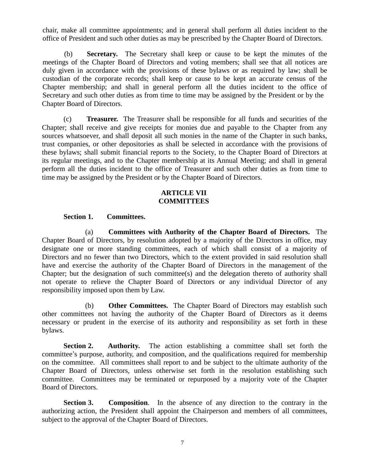chair, make all committee appointments; and in general shall perform all duties incident to the office of President and such other duties as may be prescribed by the Chapter Board of Directors.

(b) **Secretary.** The Secretary shall keep or cause to be kept the minutes of the meetings of the Chapter Board of Directors and voting members; shall see that all notices are duly given in accordance with the provisions of these bylaws or as required by law; shall be custodian of the corporate records; shall keep or cause to be kept an accurate census of the Chapter membership; and shall in general perform all the duties incident to the office of Secretary and such other duties as from time to time may be assigned by the President or by the Chapter Board of Directors.

(c) **Treasurer.** The Treasurer shall be responsible for all funds and securities of the Chapter; shall receive and give receipts for monies due and payable to the Chapter from any sources whatsoever, and shall deposit all such monies in the name of the Chapter in such banks, trust companies, or other depositories as shall be selected in accordance with the provisions of these bylaws; shall submit financial reports to the Society, to the Chapter Board of Directors at its regular meetings, and to the Chapter membership at its Annual Meeting; and shall in general perform all the duties incident to the office of Treasurer and such other duties as from time to time may be assigned by the President or by the Chapter Board of Directors.

## **ARTICLE VII COMMITTEES**

#### **Section 1. Committees.**

(a) **Committees with Authority of the Chapter Board of Directors.** The Chapter Board of Directors, by resolution adopted by a majority of the Directors in office, may designate one or more standing committees, each of which shall consist of a majority of Directors and no fewer than two Directors, which to the extent provided in said resolution shall have and exercise the authority of the Chapter Board of Directors in the management of the Chapter; but the designation of such committee(s) and the delegation thereto of authority shall not operate to relieve the Chapter Board of Directors or any individual Director of any responsibility imposed upon them by Law.

(b) **Other Committees.** The Chapter Board of Directors may establish such other committees not having the authority of the Chapter Board of Directors as it deems necessary or prudent in the exercise of its authority and responsibility as set forth in these bylaws.

**Section 2.** Authority. The action establishing a committee shall set forth the committee's purpose, authority, and composition, and the qualifications required for membership on the committee. All committees shall report to and be subject to the ultimate authority of the Chapter Board of Directors, unless otherwise set forth in the resolution establishing such committee. Committees may be terminated or repurposed by a majority vote of the Chapter Board of Directors.

**Section 3.** Composition. In the absence of any direction to the contrary in the authorizing action, the President shall appoint the Chairperson and members of all committees, subject to the approval of the Chapter Board of Directors.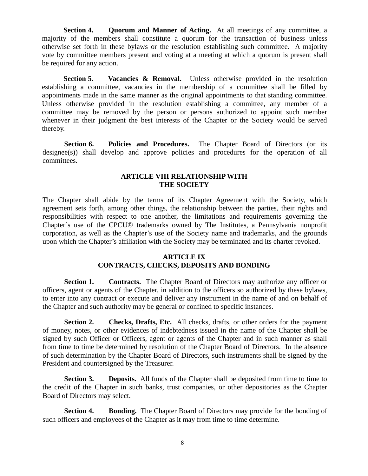**Section 4. Quorum and Manner of Acting.** At all meetings of any committee, a majority of the members shall constitute a quorum for the transaction of business unless otherwise set forth in these bylaws or the resolution establishing such committee. A majority vote by committee members present and voting at a meeting at which a quorum is present shall be required for any action.

**Section 5.** Vacancies & Removal. Unless otherwise provided in the resolution establishing a committee, vacancies in the membership of a committee shall be filled by appointments made in the same manner as the original appointments to that standing committee. Unless otherwise provided in the resolution establishing a committee, any member of a committee may be removed by the person or persons authorized to appoint such member whenever in their judgment the best interests of the Chapter or the Society would be served thereby.

**Section 6. Policies and Procedures.** The Chapter Board of Directors (or its designee(s)) shall develop and approve policies and procedures for the operation of all committees.

# **ARTICLE VIII RELATIONSHIPWITH THE SOCIETY**

The Chapter shall abide by the terms of its Chapter Agreement with the Society, which agreement sets forth, among other things, the relationship between the parties, their rights and responsibilities with respect to one another, the limitations and requirements governing the Chapter's use of the CPCU® trademarks owned by The Institutes, a Pennsylvania nonprofit corporation, as well as the Chapter's use of the Society name and trademarks, and the grounds upon which the Chapter's affiliation with the Society may be terminated and its charter revoked.

## **ARTICLE IX CONTRACTS, CHECKS, DEPOSITS AND BONDING**

**Section 1.** Contracts. The Chapter Board of Directors may authorize any officer or officers, agent or agents of the Chapter, in addition to the officers so authorized by these bylaws, to enter into any contract or execute and deliver any instrument in the name of and on behalf of the Chapter and such authority may be general or confined to specific instances.

**Section 2. Checks, Drafts, Etc.** All checks, drafts, or other orders for the payment of money, notes, or other evidences of indebtedness issued in the name of the Chapter shall be signed by such Officer or Officers, agent or agents of the Chapter and in such manner as shall from time to time be determined by resolution of the Chapter Board of Directors. In the absence of such determination by the Chapter Board of Directors, such instruments shall be signed by the President and countersigned by the Treasurer.

**Section 3.** Deposits. All funds of the Chapter shall be deposited from time to time to the credit of the Chapter in such banks, trust companies, or other depositories as the Chapter Board of Directors may select.

**Section 4.** Bonding. The Chapter Board of Directors may provide for the bonding of such officers and employees of the Chapter as it may from time to time determine.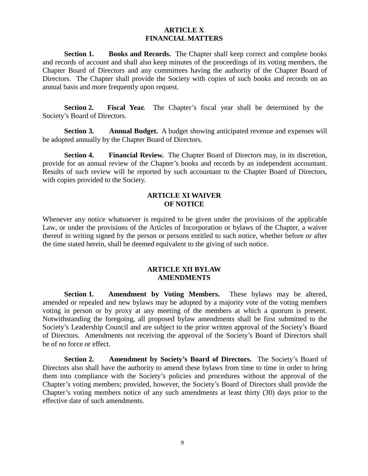### **ARTICLE X FINANCIAL MATTERS**

**Section 1. Books and Records.** The Chapter shall keep correct and complete books and records of account and shall also keep minutes of the proceedings of its voting members, the Chapter Board of Directors and any committees having the authority of the Chapter Board of Directors. The Chapter shall provide the Society with copies of such books and records on an annual basis and more frequently upon request.

**Section 2. Fiscal Year.** The Chapter's fiscal year shall be determined by the Society's Board of Directors.

**Section 3. Annual Budget.** A budget showing anticipated revenue and expenses will be adopted annually by the Chapter Board of Directors.

**Section 4. Financial Review.** The Chapter Board of Directors may, in its discretion, provide for an annual review of the Chapter's books and records by an independent accountant. Results of such review will be reported by such accountant to the Chapter Board of Directors, with copies provided to the Society.

# **ARTICLE XI WAIVER OF NOTICE**

Whenever any notice whatsoever is required to be given under the provisions of the applicable Law, or under the provisions of the Articles of Incorporation or bylaws of the Chapter, a waiver thereof in writing signed by the person or persons entitled to such notice, whether before or after the time stated herein, shall be deemed equivalent to the giving of such notice.

### **ARTICLE XII BYLAW AMENDMENTS**

**Section 1. Amendment by Voting Members.** These bylaws may be altered, amended or repealed and new bylaws may be adopted by a majority vote of the voting members voting in person or by proxy at any meeting of the members at which a quorum is present. Notwithstanding the foregoing, all proposed bylaw amendments shall be first submitted to the Society's Leadership Council and are subject to the prior written approval of the Society's Board of Directors. Amendments not receiving the approval of the Society's Board of Directors shall be of no force or effect.

**Section 2. Amendment by Society's Board of Directors.** The Society's Board of Directors also shall have the authority to amend these bylaws from time to time in order to bring them into compliance with the Society's policies and procedures without the approval of the Chapter's voting members; provided, however, the Society's Board of Directors shall provide the Chapter's voting members notice of any such amendments at least thirty (30) days prior to the effective date of such amendments.